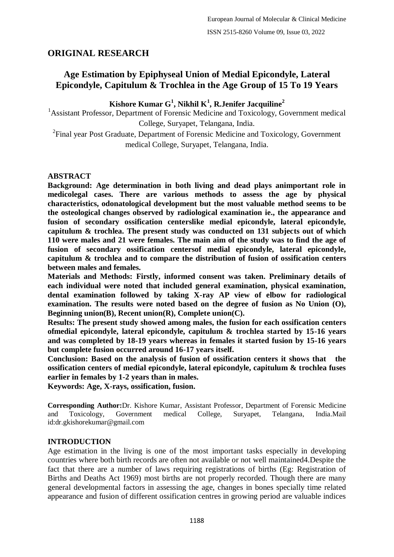# **ORIGINAL RESEARCH**

# **Age Estimation by Epiphyseal Union of Medial Epicondyle, Lateral Epicondyle, Capitulum & Trochlea in the Age Group of 15 To 19 Years**

### **Kishore Kumar G<sup>1</sup> , Nikhil K<sup>1</sup> , R.Jenifer Jacquiline<sup>2</sup>**

<sup>1</sup> Assistant Professor, Department of Forensic Medicine and Toxicology, Government medical College, Suryapet, Telangana, India.

<sup>2</sup>Final year Post Graduate, Department of Forensic Medicine and Toxicology, Government medical College, Suryapet, Telangana, India.

#### **ABSTRACT**

**Background: Age determination in both living and dead plays animportant role in medicolegal cases. There are various methods to assess the age by physical characteristics, odonatological development but the most valuable method seems to be the osteological changes observed by radiological examination ie., the appearance and fusion of secondary ossification centerslike medial epicondyle, lateral epicondyle, capitulum & trochlea. The present study was conducted on 131 subjects out of which 110 were males and 21 were females. The main aim of the study was to find the age of fusion of secondary ossification centersof medial epicondyle, lateral epicondyle, capitulum & trochlea and to compare the distribution of fusion of ossification centers between males and females.**

**Materials and Methods: Firstly, informed consent was taken. Preliminary details of each individual were noted that included general examination, physical examination, dental examination followed by taking X-ray AP view of elbow for radiological examination. The results were noted based on the degree of fusion as No Union (O), Beginning union(B), Recent union(R), Complete union(C).**

**Results: The present study showed among males, the fusion for each ossification centers ofmedial epicondyle, lateral epicondyle, capitulum & trochlea started by 15-16 years and was completed by 18-19 years whereas in females it started fusion by 15-16 years but complete fusion occurred around 16-17 years itself.**

**Conclusion: Based on the analysis of fusion of ossification centers it shows that the ossification centers of medial epicondyle, lateral epicondyle, capitulum & trochlea fuses earlier in females by 1-2 years than in males.**

**Keywords: Age, X-rays, ossification, fusion.**

**Corresponding Author:**Dr. Kishore Kumar, Assistant Professor, Department of Forensic Medicine and Toxicology, Government medical College, Suryapet, Telangana, India.Mail id:dr.gkishorekumar@gmail.com

#### **INTRODUCTION**

Age estimation in the living is one of the most important tasks especially in developing countries where both birth records are often not available or not well maintained4.Despite the fact that there are a number of laws requiring registrations of births (Eg: Registration of Births and Deaths Act 1969) most births are not properly recorded. Though there are many general developmental factors in assessing the age, changes in bones specially time related appearance and fusion of different ossification centres in growing period are valuable indices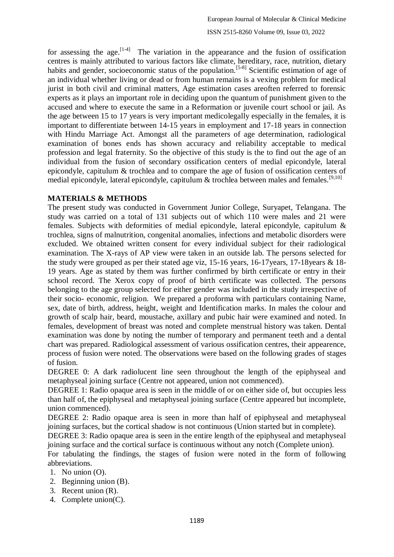for assessing the age.  $\left[14\right]$  The variation in the appearance and the fusion of ossification centres is mainly attributed to various factors like climate, hereditary, race, nutrition, dietary habits and gender, socioeconomic status of the population.<sup>[5-8]</sup> Scientific estimation of age of an individual whether living or dead or from human remains is a vexing problem for medical jurist in both civil and criminal matters, Age estimation cases areoften referred to forensic experts as it plays an important role in deciding upon the quantum of punishment given to the accused and where to execute the same in a Reformation or juvenile court school or jail. As the age between 15 to 17 years is very important medicolegally especially in the females, it is important to differentiate between 14-15 years in employment and 17-18 years in connection with Hindu Marriage Act. Amongst all the parameters of age determination, radiological examination of bones ends has shown accuracy and reliability acceptable to medical profession and legal fraternity. So the objective of this study is the to find out the age of an individual from the fusion of secondary ossification centers of medial epicondyle, lateral epicondyle, capitulum & trochlea and to compare the age of fusion of ossification centers of medial epicondyle, lateral epicondyle, capitulum  $&$  trochlea between males and females.<sup>[9,10]</sup>

#### **MATERIALS & METHODS**

The present study was conducted in Government Junior College, Suryapet, Telangana. The study was carried on a total of 131 subjects out of which 110 were males and 21 were females. Subjects with deformities of medial epicondyle, lateral epicondyle, capitulum & trochlea, signs of malnutrition, congenital anomalies, infections and metabolic disorders were excluded. We obtained written consent for every individual subject for their radiological examination. The X-rays of AP view were taken in an outside lab. The persons selected for the study were grouped as per their stated age viz, 15-16 years, 16-17years, 17-18years & 18- 19 years. Age as stated by them was further confirmed by birth certificate or entry in their school record. The Xerox copy of proof of birth certificate was collected. The persons belonging to the age group selected for either gender was included in the study irrespective of their socio- economic, religion. We prepared a proforma with particulars containing Name, sex, date of birth, address, height, weight and Identification marks. In males the colour and growth of scalp hair, beard, moustache, axillary and pubic hair were examined and noted. In females, development of breast was noted and complete menstrual history was taken. Dental examination was done by noting the number of temporary and permanent teeth and a dental chart was prepared. Radiological assessment of various ossification centres, their appearence, process of fusion were noted. The observations were based on the following grades of stages of fusion.

DEGREE 0: A dark radiolucent line seen throughout the length of the epiphyseal and metaphyseal joining surface (Centre not appeared, union not commenced).

DEGREE 1: Radio opaque area is seen in the middle of or on either side of, but occupies less than half of, the epiphyseal and metaphyseal joining surface (Centre appeared but incomplete, union commenced).

DEGREE 2: Radio opaque area is seen in more than half of epiphyseal and metaphyseal joining surfaces, but the cortical shadow is not continuous (Union started but in complete).

DEGREE 3: Radio opaque area is seen in the entire length of the epiphyseal and metaphyseal joining surface and the cortical surface is continuous without any notch (Complete union).

For tabulating the findings, the stages of fusion were noted in the form of following abbreviations.

- 1. No union (O).
- 2. Beginning union (B).
- 3. Recent union (R).
- 4. Complete union(C).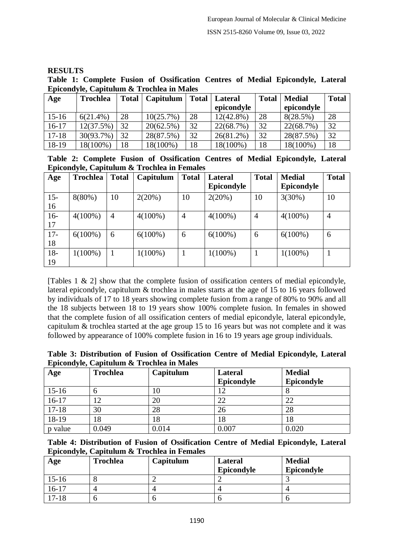#### **RESULTS**

|  |  | Table 1: Complete Fusion of Ossification Centres of Medial Epicondyle, Lateral |  |  |  |
|--|--|--------------------------------------------------------------------------------|--|--|--|
|  |  | Epicondyle, Capitulum & Trochlea in Males                                      |  |  |  |

| Age       | <b>Trochlea</b> | Total | Capitulum | <b>Total</b> | Lateral      | <b>Total</b> | <b>Medial</b> | <b>Total</b> |
|-----------|-----------------|-------|-----------|--------------|--------------|--------------|---------------|--------------|
|           |                 |       |           |              | epicondyle   |              | epicondyle    |              |
| $15-16$   | $6(21.4\%)$     | 28    | 10(25.7%) | 28           | $12(42.8\%)$ | 28           | 8(28.5%)      | 28           |
| $16-17$   | 12(37.5%)       | 32    | 20(62.5%) | 32           | 22(68.7%)    | 32           | 22(68.7%)     | 32           |
| $17 - 18$ | 30(93.7%)       | 32    | 28(87.5%) | 32           | $26(81.2\%)$ | 32           | 28(87.5%)     | 32           |
| 18-19     | 18(100%)        | 18    | 18(100%)  | 18           | 18(100%)     | 18           | 18(100%)      | 18           |

**Table 2: Complete Fusion of Ossification Centres of Medial Epicondyle, Lateral Epicondyle, Capitulum & Trochlea in Females**

| Age    | <b>Trochlea</b> | <b>Total</b>   | Capitulum  | <b>Total</b>   | Lateral    | <b>Total</b>   | <b>Medial</b> | <b>Total</b>   |
|--------|-----------------|----------------|------------|----------------|------------|----------------|---------------|----------------|
|        |                 |                |            |                | Epicondyle |                | Epicondyle    |                |
| $15 -$ | $8(80\%)$       | 10             | 2(20%)     | 10             | $2(20\%)$  | 10             | 3(30%)        | 10             |
| 16     |                 |                |            |                |            |                |               |                |
| $16-$  | $4(100\%)$      | $\overline{4}$ | $4(100\%)$ | $\overline{4}$ | $4(100\%)$ | $\overline{4}$ | $4(100\%)$    | $\overline{4}$ |
| 17     |                 |                |            |                |            |                |               |                |
| $17 -$ | $6(100\%)$      | 6              | $6(100\%)$ | 6              | $6(100\%)$ | 6              | $6(100\%)$    | 6              |
| 18     |                 |                |            |                |            |                |               |                |
| $18-$  | $1(100\%)$      |                | $1(100\%)$ |                | $1(100\%)$ |                | $1(100\%)$    |                |
| 19     |                 |                |            |                |            |                |               |                |

[Tables 1 & 2] show that the complete fusion of ossification centers of medial epicondyle, lateral epicondyle, capitulum & trochlea in males starts at the age of 15 to 16 years followed by individuals of 17 to 18 years showing complete fusion from a range of 80% to 90% and all the 18 subjects between 18 to 19 years show 100% complete fusion. In females in showed that the complete fusion of all ossification centers of medial epicondyle, lateral epicondyle, capitulum & trochlea started at the age group 15 to 16 years but was not complete and it was followed by appearance of 100% complete fusion in 16 to 19 years age group individuals.

| Table 3: Distribution of Fusion of Ossification Centre of Medial Epicondyle, Lateral |  |  |  |
|--------------------------------------------------------------------------------------|--|--|--|
| Epicondyle, Capitulum & Trochlea in Males                                            |  |  |  |

| Age     | <b>Trochlea</b> | Capitulum | Lateral    | <b>Medial</b> |  |  |  |
|---------|-----------------|-----------|------------|---------------|--|--|--|
|         |                 |           | Epicondyle | Epicondyle    |  |  |  |
| $15-16$ | n               | 10        | 12         |               |  |  |  |
| $16-17$ | 12              | 20        | 22         | 22            |  |  |  |
| $17-18$ | 30              | 28        | 26         | 28            |  |  |  |
| 18-19   | 18              | 18        | 18         | 18            |  |  |  |
| p value | 0.049           | 0.014     | 0.007      | 0.020         |  |  |  |

**Table 4: Distribution of Fusion of Ossification Centre of Medial Epicondyle, Lateral Epicondyle, Capitulum & Trochlea in Females**

| Age       | <b>Trochlea</b> | Capitulum | Lateral<br>Epicondyle | <b>Medial</b><br>Epicondyle |
|-----------|-----------------|-----------|-----------------------|-----------------------------|
| $15-16$   |                 |           |                       |                             |
| $16 - 17$ |                 |           |                       |                             |
| $17 - 18$ |                 |           |                       |                             |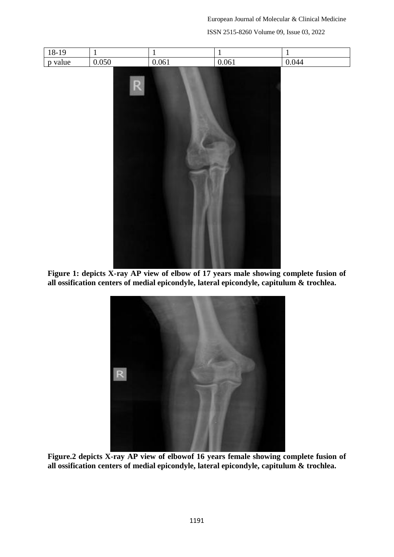European Journal of Molecular & Clinical Medicine

ISSN 2515-8260 Volume 09, Issue 03, 2022



Figure 1: depicts X-ray AP view of elbow of 17 years male showing complete fusion of **all ossification centers of medial epicondyle, lateral epicondyle, capitulum & trochlea.**



**Figure.2 depicts X-ray AP view of elbowof 16 years female showing complete fusion of all ossification centers of medial epicondyle, lateral epicondyle, capitulum & trochlea.**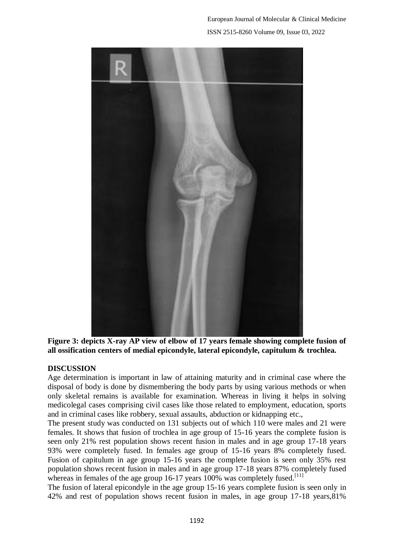European Journal of Molecular & Clinical Medicine ISSN 2515-8260 Volume 09, Issue 03, 2022



**Figure 3: depicts X-ray AP view of elbow of 17 years female showing complete fusion of all ossification centers of medial epicondyle, lateral epicondyle, capitulum & trochlea.**

#### **DISCUSSION**

Age determination is important in law of attaining maturity and in criminal case where the disposal of body is done by dismembering the body parts by using various methods or when only skeletal remains is available for examination. Whereas in living it helps in solving medicolegal cases comprising civil cases like those related to employment, education, sports and in criminal cases like robbery, sexual assaults, abduction or kidnapping etc.,

The present study was conducted on 131 subjects out of which 110 were males and 21 were females. It shows that fusion of trochlea in age group of 15-16 years the complete fusion is seen only 21% rest population shows recent fusion in males and in age group 17-18 years 93% were completely fused. In females age group of 15-16 years 8% completely fused. Fusion of capitulum in age group 15-16 years the complete fusion is seen only 35% rest population shows recent fusion in males and in age group 17-18 years 87% completely fused whereas in females of the age group 16-17 years 100% was completely fused.<sup>[11]</sup>

The fusion of lateral epicondyle in the age group 15-16 years complete fusion is seen only in 42% and rest of population shows recent fusion in males, in age group 17-18 years,81%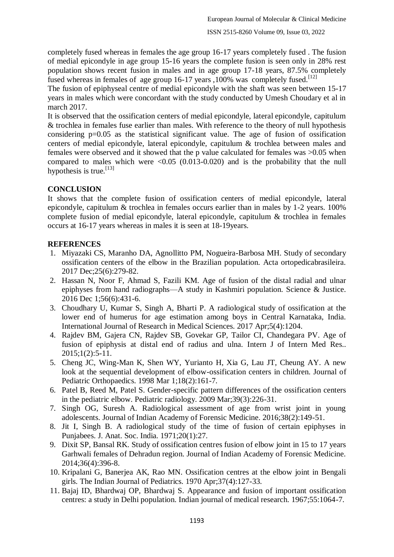completely fused whereas in females the age group 16-17 years completely fused . The fusion of medial epicondyle in age group 15-16 years the complete fusion is seen only in 28% rest population shows recent fusion in males and in age group 17-18 years, 87.5% completely fused whereas in females of age group  $16-17$  years ,100% was completely fused.<sup>[12]</sup>

The fusion of epiphyseal centre of medial epicondyle with the shaft was seen between 15-17 years in males which were concordant with the study conducted by Umesh Choudary et al in march 2017.

It is observed that the ossification centers of medial epicondyle, lateral epicondyle, capitulum & trochlea in females fuse earlier than males. With reference to the theory of null hypothesis considering p=0.05 as the statistical significant value. The age of fusion of ossification centers of medial epicondyle, lateral epicondyle, capitulum & trochlea between males and females were observed and it showed that the p value calculated for females was >0.05 when compared to males which were  $\langle 0.05 (0.013-0.020)$  and is the probability that the null hypothesis is true.  $[13]$ 

### **CONCLUSION**

It shows that the complete fusion of ossification centers of medial epicondyle, lateral epicondyle, capitulum & trochlea in females occurs earlier than in males by 1-2 years. 100% complete fusion of medial epicondyle, lateral epicondyle, capitulum & trochlea in females occurs at 16-17 years whereas in males it is seen at 18-19years.

### **REFERENCES**

- 1. Miyazaki CS, Maranho DA, Agnollitto PM, Nogueira-Barbosa MH. Study of secondary ossification centers of the elbow in the Brazilian population. Acta ortopedicabrasileira. 2017 Dec;25(6):279-82.
- 2. Hassan N, Noor F, Ahmad S, Fazili KM. Age of fusion of the distal radial and ulnar epiphyses from hand radiographs—A study in Kashmiri population. Science & Justice. 2016 Dec 1;56(6):431-6.
- 3. Choudhary U, Kumar S, Singh A, Bharti P. A radiological study of ossification at the lower end of humerus for age estimation among boys in Central Karnataka, India. International Journal of Research in Medical Sciences. 2017 Apr;5(4):1204.
- 4. Rajdev BM, Gajera CN, Rajdev SB, Govekar GP, Tailor CI, Chandegara PV. Age of fusion of epiphysis at distal end of radius and ulna. Intern J of Intern Med Res.. 2015;1(2):5-11.
- 5. Cheng JC, Wing-Man K, Shen WY, Yurianto H, Xia G, Lau JT, Cheung AY. A new look at the sequential development of elbow-ossification centers in children. Journal of Pediatric Orthopaedics. 1998 Mar 1;18(2):161-7.
- 6. Patel B, Reed M, Patel S. Gender-specific pattern differences of the ossification centers in the pediatric elbow. Pediatric radiology. 2009 Mar;39(3):226-31.
- 7. Singh OG, Suresh A. Radiological assessment of age from wrist joint in young adolescents. Journal of Indian Academy of Forensic Medicine. 2016;38(2):149-51.
- 8. Jit I, Singh B. A radiological study of the time of fusion of certain epiphyses in Punjabees. J. Anat. Soc. India. 1971;20(1):27.
- 9. Dixit SP, Bansal RK. Study of ossification centres fusion of elbow joint in 15 to 17 years Garhwali females of Dehradun region. Journal of Indian Academy of Forensic Medicine. 2014;36(4):396-8.
- 10. Kripalani G, Banerjea AK, Rao MN. Ossification centres at the elbow joint in Bengali girls. The Indian Journal of Pediatrics. 1970 Apr;37(4):127-33.
- 11. Bajaj ID, Bhardwaj OP, Bhardwaj S. Appearance and fusion of important ossification centres: a study in Delhi population. Indian journal of medical research. 1967;55:1064-7.